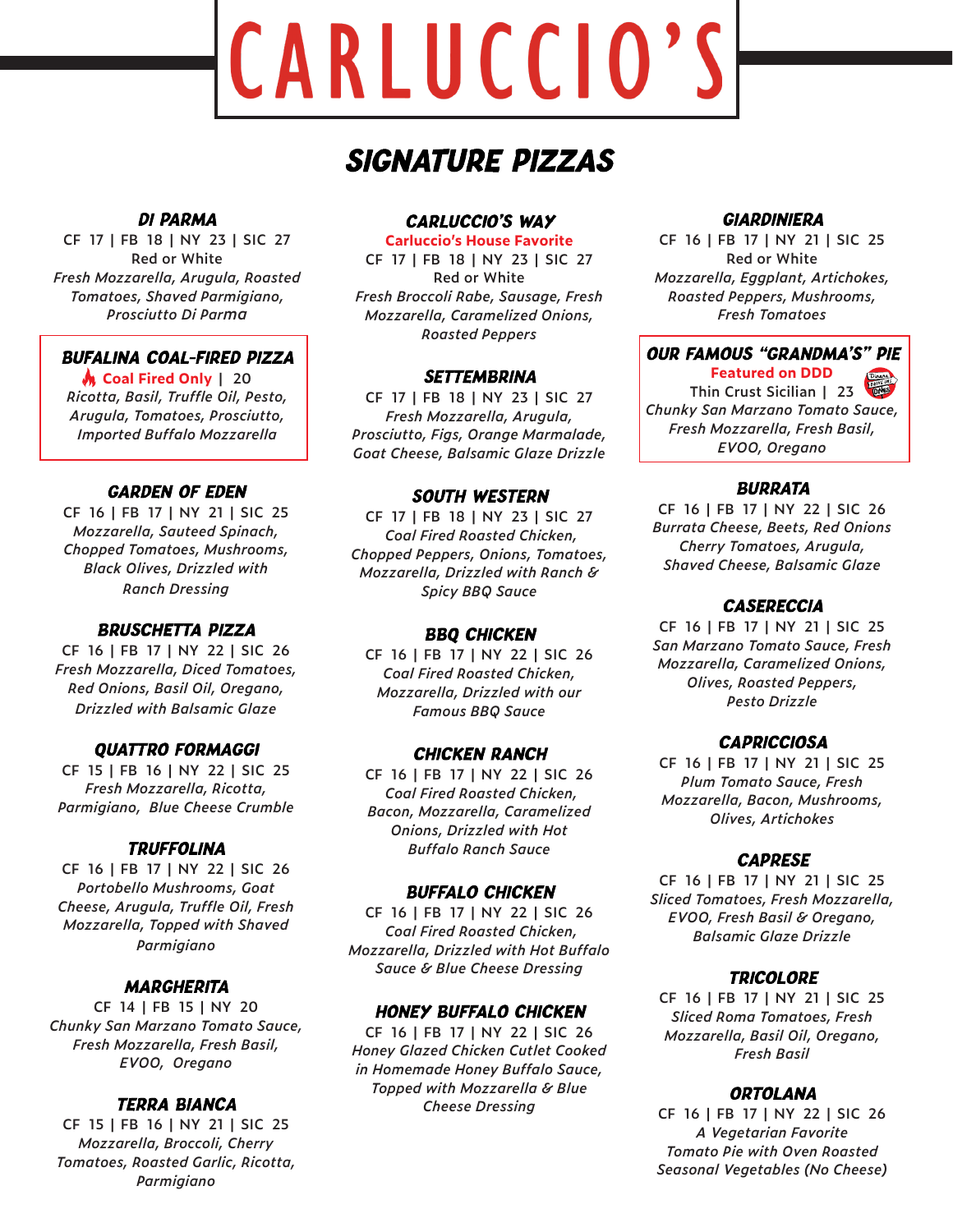# CARLUCCIO'S

# **SIGNATURE PIZZAS**

# **DI PARMA**

**CF 17 | FB 18 | NY 23 | SIC 27 Red or White** *Fresh Mozzarella, Arugula, Roasted Tomatoes, Shaved Parmigiano, Prosciutto Di Parma*

# **BUFALINA COAL-FIRED PIZZA**

**Coal Fired Only | 20** *Ricotta, Basil, Truffle Oil, Pesto, Arugula, Tomatoes, Prosciutto, Imported Buffalo Mozzarella*

# **GARDEN OF EDEN**

**CF 16 | FB 17 | NY 21 | SIC 25** *Mozzarella, Sauteed Spinach, Chopped Tomatoes, Mushrooms, Black Olives, Drizzled with Ranch Dressing*

# **BRUSCHETTA PIZZA**

**CF 16 | FB 17 | NY 22 | SIC 26** *Fresh Mozzarella, Diced Tomatoes, Red Onions, Basil Oil, Oregano, Drizzled with Balsamic Glaze*

# **QUATTRO FORMAGGI**

**CF 15 | FB 16 | NY 22 | SIC 25** *Fresh Mozzarella, Ricotta, Parmigiano, Blue Cheese Crumble*

# **TRUFFOLINA**

**CF 16 | FB 17 | NY 22 | SIC 26** *Portobello Mushrooms, Goat Cheese, Arugula, Truffle Oil, Fresh Mozzarella, Topped with Shaved Parmigiano*

# **MARGHERITA**

**CF 14 | FB 15 | NY 20** *Chunky San Marzano Tomato Sauce, Fresh Mozzarella, Fresh Basil, EVOO, Oregano*

## **TERRA BIANCA**

**CF 15 | FB 16 | NY 21 | SIC 25** *Mozzarella, Broccoli, Cherry Tomatoes, Roasted Garlic, Ricotta, Parmigiano*

#### **CARLUCCIO'S WAY**

**Carluccio's House Favorite**

**CF 17 | FB 18 | NY 23 | SIC 27 Red or White** *Fresh Broccoli Rabe, Sausage, Fresh Mozzarella, Caramelized Onions, Roasted Peppers*

## **SETTEMBRINA**

**CF 17 | FB 18 | NY 23 | SIC 27** *Fresh Mozzarella, Arugula, Prosciutto, Figs, Orange Marmalade, Goat Cheese, Balsamic Glaze Drizzle*

# **SOUTH WESTERN**

**CF 17 | FB 18 | NY 23 | SIC 27**  *Coal Fired Roasted Chicken, Chopped Peppers, Onions, Tomatoes, Mozzarella, Drizzled with Ranch & Spicy BBQ Sauce*

# **BBQ CHICKEN**

**CF 16 | FB 17 | NY 22 | SIC 26** *Coal Fired Roasted Chicken, Mozzarella, Drizzled with our Famous BBQ Sauce*

#### **CHICKEN RANCH**

**CF 16 | FB 17 | NY 22 | SIC 26** *Coal Fired Roasted Chicken, Bacon, Mozzarella, Caramelized Onions, Drizzled with Hot Buffalo Ranch Sauce*

## **BUFFALO CHICKEN**

**CF 16 | FB 17 | NY 22 | SIC 26**  *Coal Fired Roasted Chicken, Mozzarella, Drizzled with Hot Buffalo Sauce & Blue Cheese Dressing*

## **HONEY BUFFALO CHICKEN**

**CF 16 | FB 17 | NY 22 | SIC 26** *Honey Glazed Chicken Cutlet Cooked in Homemade Honey Buffalo Sauce, Topped with Mozzarella & Blue Cheese Dressing*

# **GIARDINIERA**

**CF 16 | FB 17 | NY 21 | SIC 25 Red or White** *Mozzarella, Eggplant, Artichokes, Roasted Peppers, Mushrooms, Fresh Tomatoes*

**OUR FAMOUS "GRANDMA'S" PIE** 

**Featured on DDD Thin Crust Sicilian | 23** *Chunky San Marzano Tomato Sauce, Fresh Mozzarella, Fresh Basil, EVOO, Oregano*

## **BURRATA**

**CF 16 | FB 17 | NY 22 | SIC 26** *Burrata Cheese, Beets, Red Onions Cherry Tomatoes, Arugula, Shaved Cheese, Balsamic Glaze*

# **CASERECCIA**

**CF 16 | FB 17 | NY 21 | SIC 25** *San Marzano Tomato Sauce, Fresh Mozzarella, Caramelized Onions, Olives, Roasted Peppers, Pesto Drizzle*

#### **CAPRICCIOSA**

**CF 16 | FB 17 | NY 21 | SIC 25** *Plum Tomato Sauce, Fresh Mozzarella, Bacon, Mushrooms, Olives, Artichokes*

#### **CAPRESE**

**CF 16 | FB 17 | NY 21 | SIC 25** *Sliced Tomatoes, Fresh Mozzarella, EVOO, Fresh Basil & Oregano, Balsamic Glaze Drizzle*

#### **TRICOLORE**

**CF 16 | FB 17 | NY 21 | SIC 25** *Sliced Roma Tomatoes, Fresh Mozzarella, Basil Oil, Oregano, Fresh Basil*

# **ORTOLANA**

**CF 16 | FB 17 | NY 22 | SIC 26** *A Vegetarian Favorite Tomato Pie with Oven Roasted Seasonal Vegetables (No Cheese)*